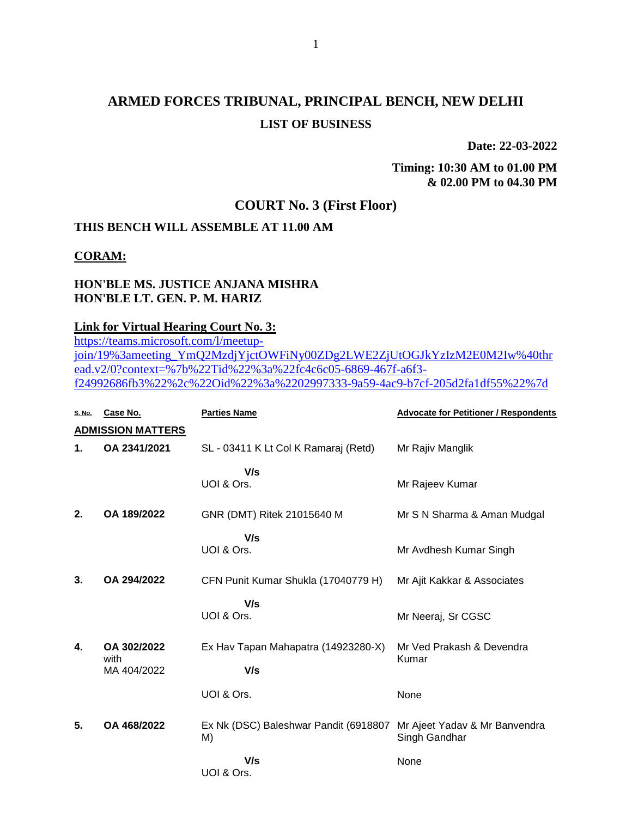# **ARMED FORCES TRIBUNAL, PRINCIPAL BENCH, NEW DELHI LIST OF BUSINESS**

**Date: 22-03-2022**

**Timing: 10:30 AM to 01.00 PM & 02.00 PM to 04.30 PM**

## **COURT No. 3 (First Floor)**

### **THIS BENCH WILL ASSEMBLE AT 11.00 AM**

#### **CORAM:**

#### **HON'BLE MS. JUSTICE ANJANA MISHRA HON'BLE LT. GEN. P. M. HARIZ**

#### **Link for Virtual Hearing Court No. 3:**

[https://teams.microsoft.com/l/meetup](https://teams.microsoft.com/l/meetup-join/19%3ameeting_YmQ2MzdjYjctOWFiNy00ZDg2LWE2ZjUtOGJkYzIzM2E0M2Iw%40thread.v2/0?context=%7b%22Tid%22%3a%22fc4c6c05-6869-467f-a6f3-f24992686fb3%22%2c%22Oid%22%3a%2202997333-9a59-4ac9-b7cf-205d2fa1df55%22%7d)[join/19%3ameeting\\_YmQ2MzdjYjctOWFiNy00ZDg2LWE2ZjUtOGJkYzIzM2E0M2Iw%40thr](https://teams.microsoft.com/l/meetup-join/19%3ameeting_YmQ2MzdjYjctOWFiNy00ZDg2LWE2ZjUtOGJkYzIzM2E0M2Iw%40thread.v2/0?context=%7b%22Tid%22%3a%22fc4c6c05-6869-467f-a6f3-f24992686fb3%22%2c%22Oid%22%3a%2202997333-9a59-4ac9-b7cf-205d2fa1df55%22%7d) [ead.v2/0?context=%7b%22Tid%22%3a%22fc4c6c05-6869-467f-a6f3](https://teams.microsoft.com/l/meetup-join/19%3ameeting_YmQ2MzdjYjctOWFiNy00ZDg2LWE2ZjUtOGJkYzIzM2E0M2Iw%40thread.v2/0?context=%7b%22Tid%22%3a%22fc4c6c05-6869-467f-a6f3-f24992686fb3%22%2c%22Oid%22%3a%2202997333-9a59-4ac9-b7cf-205d2fa1df55%22%7d) [f24992686fb3%22%2c%22Oid%22%3a%2202997333-9a59-4ac9-b7cf-205d2fa1df55%22%7d](https://teams.microsoft.com/l/meetup-join/19%3ameeting_YmQ2MzdjYjctOWFiNy00ZDg2LWE2ZjUtOGJkYzIzM2E0M2Iw%40thread.v2/0?context=%7b%22Tid%22%3a%22fc4c6c05-6869-467f-a6f3-f24992686fb3%22%2c%22Oid%22%3a%2202997333-9a59-4ac9-b7cf-205d2fa1df55%22%7d)

| S. No.                   | Case No.            | <b>Parties Name</b>                   | <b>Advocate for Petitioner / Respondents</b> |  |
|--------------------------|---------------------|---------------------------------------|----------------------------------------------|--|
| <b>ADMISSION MATTERS</b> |                     |                                       |                                              |  |
| 1.                       | OA 2341/2021        | SL - 03411 K Lt Col K Ramaraj (Retd)  | Mr Rajiv Manglik                             |  |
|                          |                     | V/s                                   |                                              |  |
|                          |                     | UOI & Ors.                            | Mr Rajeev Kumar                              |  |
| 2.                       | OA 189/2022         | GNR (DMT) Ritek 21015640 M            | Mr S N Sharma & Aman Mudgal                  |  |
|                          |                     | V/s                                   |                                              |  |
|                          |                     | UOI & Ors.                            | Mr Avdhesh Kumar Singh                       |  |
| 3.                       | OA 294/2022         | CFN Punit Kumar Shukla (17040779 H)   | Mr Ajit Kakkar & Associates                  |  |
|                          |                     |                                       |                                              |  |
|                          |                     | V/s<br>UOI & Ors.                     | Mr Neeraj, Sr CGSC                           |  |
|                          |                     |                                       |                                              |  |
| 4.                       | OA 302/2022         | Ex Hav Tapan Mahapatra (14923280-X)   | Mr Ved Prakash & Devendra                    |  |
|                          | with<br>MA 404/2022 | V/s                                   | Kumar                                        |  |
|                          |                     |                                       |                                              |  |
|                          |                     | UOI & Ors.                            | None                                         |  |
| 5.                       | OA 468/2022         | Ex Nk (DSC) Baleshwar Pandit (6918807 | Mr Ajeet Yadav & Mr Banvendra                |  |
|                          |                     | M)                                    | Singh Gandhar                                |  |
|                          |                     | V/s                                   | None                                         |  |
|                          |                     | UOI & Ors.                            |                                              |  |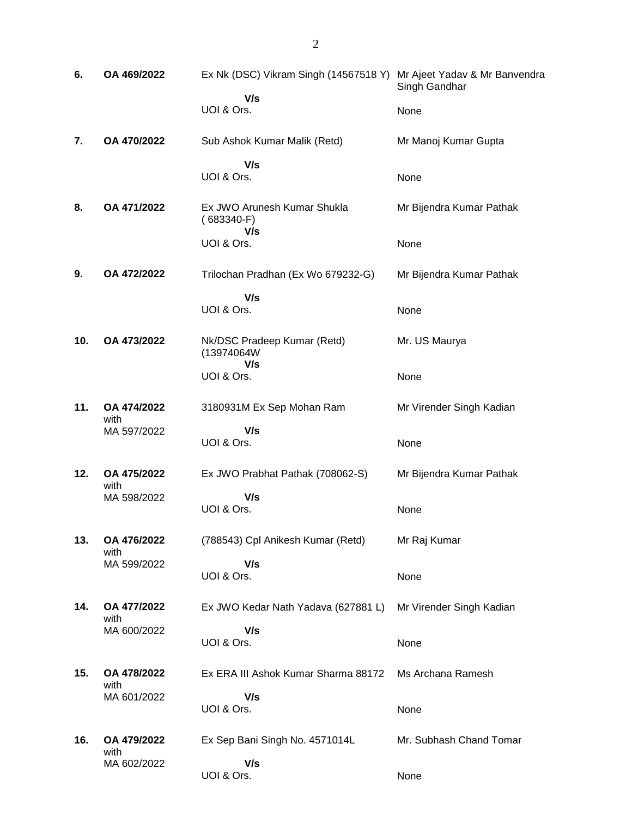| 6.  | OA 469/2022         | Ex Nk (DSC) Vikram Singh (14567518 Y) Mr Ajeet Yadav & Mr Banvendra | Singh Gandhar            |
|-----|---------------------|---------------------------------------------------------------------|--------------------------|
|     |                     | V/s<br>UOI & Ors.                                                   | None                     |
| 7.  | OA 470/2022         | Sub Ashok Kumar Malik (Retd)                                        | Mr Manoj Kumar Gupta     |
|     |                     | V/s<br>UOI & Ors.                                                   | None                     |
| 8.  | OA 471/2022         | Ex JWO Arunesh Kumar Shukla<br>$(683340-F)$                         | Mr Bijendra Kumar Pathak |
|     |                     | V/s<br>UOI & Ors.                                                   | None                     |
| 9.  | OA 472/2022         | Trilochan Pradhan (Ex Wo 679232-G)                                  | Mr Bijendra Kumar Pathak |
|     |                     | V/s<br>UOI & Ors.                                                   | None                     |
| 10. | OA 473/2022         | Nk/DSC Pradeep Kumar (Retd)<br>(13974064W                           | Mr. US Maurya            |
|     |                     | V/s<br>UOI & Ors.                                                   | None                     |
| 11. | OA 474/2022<br>with | 3180931M Ex Sep Mohan Ram                                           | Mr Virender Singh Kadian |
|     | MA 597/2022         | V/s<br>UOI & Ors.                                                   | None                     |
|     |                     |                                                                     |                          |
| 12. | OA 475/2022         | Ex JWO Prabhat Pathak (708062-S)                                    | Mr Bijendra Kumar Pathak |
|     | with<br>MA 598/2022 | V/s<br>UOI & Ors.                                                   | None                     |
| 13. | OA 476/2022         | (788543) Cpl Anikesh Kumar (Retd)                                   | Mr Raj Kumar             |
|     | with<br>MA 599/2022 | V/s<br>UOI & Ors.                                                   | None                     |
| 14. | OA 477/2022         | Ex JWO Kedar Nath Yadava (627881 L)                                 | Mr Virender Singh Kadian |
|     | with<br>MA 600/2022 | V/s<br>UOI & Ors.                                                   | None                     |
| 15. | OA 478/2022         | Ex ERA III Ashok Kumar Sharma 88172                                 | Ms Archana Ramesh        |
|     | with<br>MA 601/2022 | V/s<br>UOI & Ors.                                                   | None                     |
| 16. | OA 479/2022<br>with | Ex Sep Bani Singh No. 4571014L                                      | Mr. Subhash Chand Tomar  |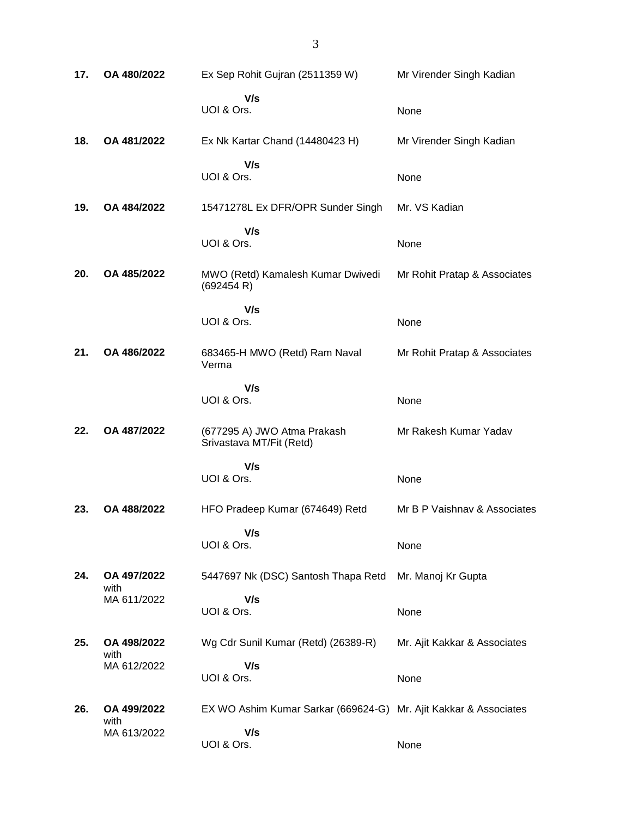| 17. | OA 480/2022         | Ex Sep Rohit Gujran (2511359 W)                                  | Mr Virender Singh Kadian     |
|-----|---------------------|------------------------------------------------------------------|------------------------------|
|     |                     | V/s<br>UOI & Ors.                                                | None                         |
| 18. | OA 481/2022         | Ex Nk Kartar Chand (14480423 H)                                  | Mr Virender Singh Kadian     |
|     |                     | V/s<br>UOI & Ors.                                                | None                         |
| 19. | OA 484/2022         | 15471278L Ex DFR/OPR Sunder Singh                                | Mr. VS Kadian                |
|     |                     | V/s<br>UOI & Ors.                                                | None                         |
| 20. | OA 485/2022         | MWO (Retd) Kamalesh Kumar Dwivedi<br>(692454 R)                  | Mr Rohit Pratap & Associates |
|     |                     | V/s<br>UOI & Ors.                                                | None                         |
| 21. | OA 486/2022         | 683465-H MWO (Retd) Ram Naval<br>Verma                           | Mr Rohit Pratap & Associates |
|     |                     | V/s<br>UOI & Ors.                                                | None                         |
| 22. | OA 487/2022         | (677295 A) JWO Atma Prakash<br>Srivastava MT/Fit (Retd)          | Mr Rakesh Kumar Yadav        |
|     |                     | V/s                                                              |                              |
|     |                     | UOI & Ors.                                                       | None                         |
| 23. | OA 488/2022         | HFO Pradeep Kumar (674649) Retd                                  | Mr B P Vaishnav & Associates |
|     |                     | V/s<br>UOI & Ors.                                                | None                         |
| 24. | OA 497/2022<br>with | 5447697 Nk (DSC) Santosh Thapa Retd                              | Mr. Manoj Kr Gupta           |
|     | MA 611/2022         | V/s<br>UOI & Ors.                                                | None                         |
| 25. | OA 498/2022         | Wg Cdr Sunil Kumar (Retd) (26389-R)                              | Mr. Ajit Kakkar & Associates |
|     | with<br>MA 612/2022 | V/s                                                              |                              |
|     |                     | UOI & Ors.                                                       | None                         |
| 26. | OA 499/2022<br>with | EX WO Ashim Kumar Sarkar (669624-G) Mr. Ajit Kakkar & Associates |                              |
|     | MA 613/2022         | V/s<br>UOI & Ors.                                                | None                         |